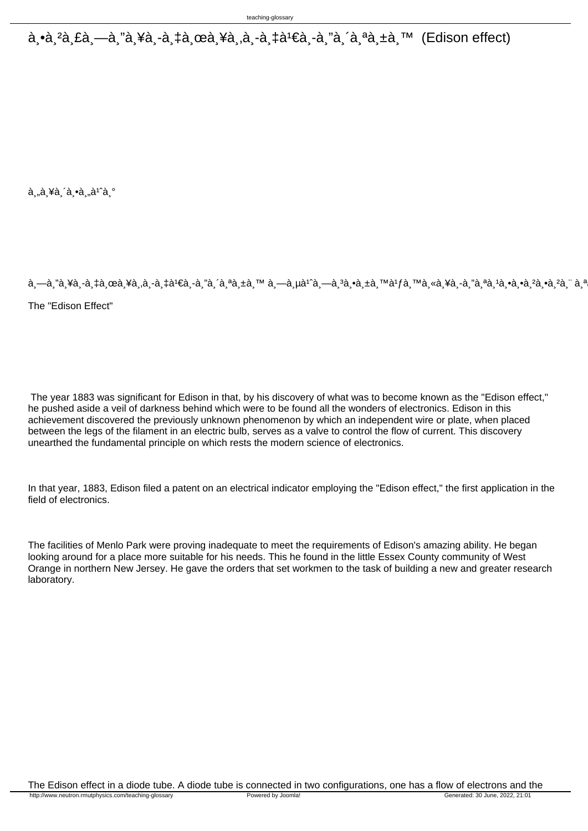$\hat{a}$ ,  $\hat{a}$ ,  $\hat{a}$ ,  $\hat{a}$ ,  $\hat{a}$ ,  $\hat{a}$ ,  $\hat{a}$ ,  $\hat{a}$ ,  $\hat{a}$ ,  $\hat{a}$ ,  $\hat{a}$ ,  $\hat{a}$ ,  $\hat{a}$ ,  $\hat{a}$ ,  $\hat{a}$ ,  $\hat{a}$ ,  $\hat{a}$ ,  $\hat{a}$ ,  $\hat{a}$ ,  $\hat{a}$ ,  $\hat{a}$ ,  $\hat{a}$ ,  $\hat{a}$ ,  $\hat{a}$ ,  $\hat{a$ 

 $\dot{a}$ "à ¥à (a  $\dot{a}$ , à<sup>1</sup>a º

à,—à,"à,¥à,-à,‡à,œà,¥à,,à,-à,‡à1€à,-à,"à,´à,ªà,±à,™ à,—à,µà1^à,—à,ªà,•à,±à,™à1fà,™à,«à,¥à,-à,"à,ªà,ºà,•à,ºà,ºà,ºà,ºà,ªà,¨à, The "Edison Effect"

 The year 1883 was significant for Edison in that, by his discovery of what was to become known as the "Edison effect," he pushed aside a veil of darkness behind which were to be found all the wonders of electronics. Edison in this achievement discovered the previously unknown phenomenon by which an independent wire or plate, when placed between the legs of the filament in an electric bulb, serves as a valve to control the flow of current. This discovery unearthed the fundamental principle on which rests the modern science of electronics.

In that year, 1883, Edison filed a patent on an electrical indicator employing the "Edison effect," the first application in the field of electronics.

The facilities of Menlo Park were proving inadequate to meet the requirements of Edison's amazing ability. He began looking around for a place more suitable for his needs. This he found in the little Essex County community of West Orange in northern New Jersey. He gave the orders that set workmen to the task of building a new and greater research laboratory.